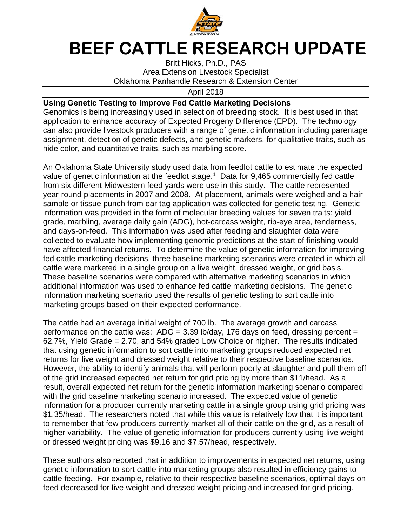

## **BEEF CATTLE RESEARCH UPDATE**

Britt Hicks, Ph.D., PAS Area Extension Livestock Specialist Oklahoma Panhandle Research & Extension Center

April 2018

## **Using Genetic Testing to Improve Fed Cattle Marketing Decisions**

Genomics is being increasingly used in selection of breeding stock. It is best used in that application to enhance accuracy of Expected Progeny Difference (EPD). The technology can also provide livestock producers with a range of genetic information including parentage assignment, detection of genetic defects, and genetic markers, for qualitative traits, such as hide color, and quantitative traits, such as marbling score.

An Oklahoma State University study used data from feedlot cattle to estimate the expected value of genetic information at the feedlot stage.<sup>1</sup> Data for 9,465 commercially fed cattle from six different Midwestern feed yards were use in this study. The cattle represented year-round placements in 2007 and 2008. At placement, animals were weighed and a hair sample or tissue punch from ear tag application was collected for genetic testing. Genetic information was provided in the form of molecular breeding values for seven traits: yield grade, marbling, average daily gain (ADG), hot-carcass weight, rib-eye area, tenderness, and days-on-feed. This information was used after feeding and slaughter data were collected to evaluate how implementing genomic predictions at the start of finishing would have affected financial returns. To determine the value of genetic information for improving fed cattle marketing decisions, three baseline marketing scenarios were created in which all cattle were marketed in a single group on a live weight, dressed weight, or grid basis. These baseline scenarios were compared with alternative marketing scenarios in which additional information was used to enhance fed cattle marketing decisions. The genetic information marketing scenario used the results of genetic testing to sort cattle into marketing groups based on their expected performance.

The cattle had an average initial weight of 700 lb. The average growth and carcass performance on the cattle was:  $ADG = 3.39$  lb/day, 176 days on feed, dressing percent = 62.7%, Yield Grade = 2.70, and 54% graded Low Choice or higher. The results indicated that using genetic information to sort cattle into marketing groups reduced expected net returns for live weight and dressed weight relative to their respective baseline scenarios. However, the ability to identify animals that will perform poorly at slaughter and pull them off of the grid increased expected net return for grid pricing by more than \$11/head. As a result, overall expected net return for the genetic information marketing scenario compared with the grid baseline marketing scenario increased. The expected value of genetic information for a producer currently marketing cattle in a single group using grid pricing was \$1.35/head. The researchers noted that while this value is relatively low that it is important to remember that few producers currently market all of their cattle on the grid, as a result of higher variability. The value of genetic information for producers currently using live weight or dressed weight pricing was \$9.16 and \$7.57/head, respectively.

These authors also reported that in addition to improvements in expected net returns, using genetic information to sort cattle into marketing groups also resulted in efficiency gains to cattle feeding. For example, relative to their respective baseline scenarios, optimal days-onfeed decreased for live weight and dressed weight pricing and increased for grid pricing.